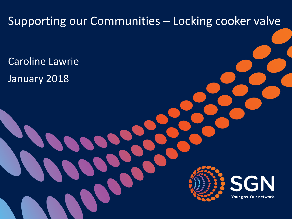# Supporting our Communities – Locking cooker valve Caroline Lawrie January 2018 N Your gas. Our network.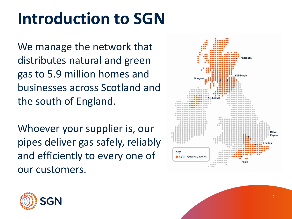### **Introduction to SGN**

We manage the network that distributes natural and green gas to 5.9 million homes and businesses across Scotland and the south of England.

Whoever your supplier is, our pipes deliver gas safely, reliably and efficiently to every one of our customers.



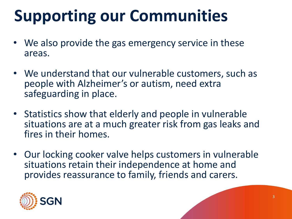### **Supporting our Communities**

- We also provide the gas emergency service in these areas.
- We understand that our vulnerable customers, such as people with Alzheimer's or autism, need extra safeguarding in place.
- Statistics show that elderly and people in vulnerable situations are at a much greater risk from gas leaks and fires in their homes.
- Our locking cooker valve helps customers in vulnerable situations retain their independence at home and provides reassurance to family, friends and carers.

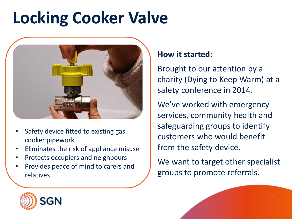### **Locking Cooker Valve**



- Safety device fitted to existing gas cooker pipework
- Eliminates the risk of appliance misuse
- Protects occupiers and neighbours
- Provides peace of mind to carers and relatives

#### **How it started:**

Brought to our attention by a charity (Dying to Keep Warm) at a safety conference in 2014.

We've worked with emergency services, community health and safeguarding groups to identify customers who would benefit from the safety device.

We want to target other specialist groups to promote referrals.

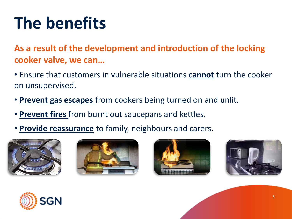## **The benefits**

**As a result of the development and introduction of the locking cooker valve, we can…**

- Ensure that customers in vulnerable situations **cannot** turn the cooker on unsupervised.
- **Prevent gas escapes** from cookers being turned on and unlit.
- **Prevent fires** from burnt out saucepans and kettles.
- **Provide reassurance** to family, neighbours and carers.









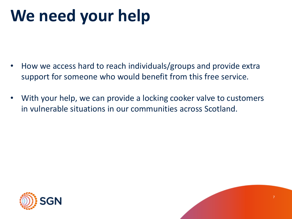### **We need your help**

- How we access hard to reach individuals/groups and provide extra support for someone who would benefit from this free service.
- With your help, we can provide a locking cooker valve to customers in vulnerable situations in our communities across Scotland.